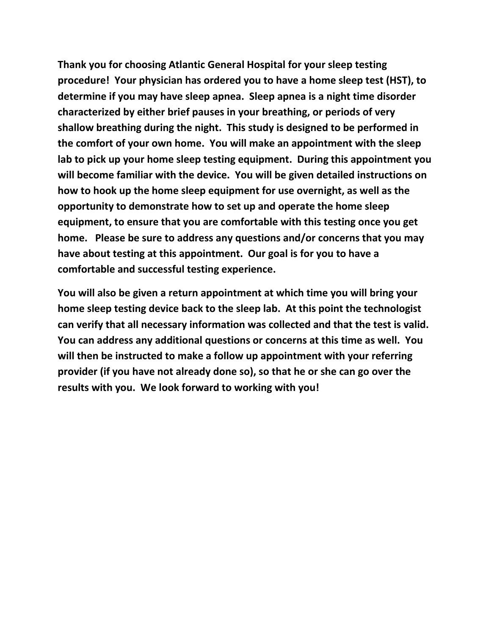**Thank you for choosing Atlantic General Hospital for your sleep testing procedure! Your physician has ordered you to have a home sleep test (HST), to determine if you may have sleep apnea. Sleep apnea is a night time disorder characterized by either brief pauses in your breathing, or periods of very shallow breathing during the night. This study is designed to be performed in the comfort of your own home. You will make an appointment with the sleep lab to pick up your home sleep testing equipment. During this appointment you will become familiar with the device. You will be given detailed instructions on how to hook up the home sleep equipment for use overnight, as well as the opportunity to demonstrate how to set up and operate the home sleep equipment, to ensure that you are comfortable with this testing once you get home. Please be sure to address any questions and/or concerns that you may have about testing at this appointment. Our goal is for you to have a comfortable and successful testing experience.** 

**You will also be given a return appointment at which time you will bring your home sleep testing device back to the sleep lab. At this point the technologist can verify that all necessary information was collected and that the test is valid. You can address any additional questions or concerns at this time as well. You will then be instructed to make a follow up appointment with your referring provider (if you have not already done so), so that he or she can go over the results with you. We look forward to working with you!**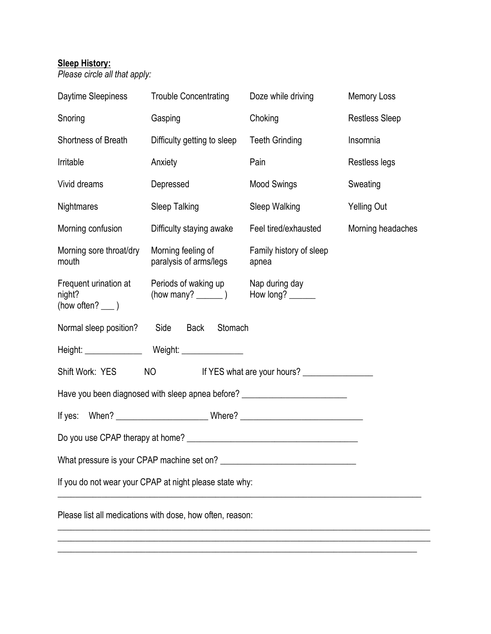### **Sleep History:**

*Please circle all that apply:*

| Daytime Sleepiness                                   | <b>Trouble Concentrating</b>                                                     | Doze while driving                 | <b>Memory Loss</b>    |
|------------------------------------------------------|----------------------------------------------------------------------------------|------------------------------------|-----------------------|
| Snoring                                              | Gasping                                                                          | Choking                            | <b>Restless Sleep</b> |
| Shortness of Breath                                  | Difficulty getting to sleep                                                      | <b>Teeth Grinding</b>              | Insomnia              |
| Irritable                                            | Anxiety                                                                          | Pain                               | Restless legs         |
| Vivid dreams                                         | Depressed                                                                        | <b>Mood Swings</b>                 | Sweating              |
| <b>Nightmares</b>                                    | Sleep Talking                                                                    | Sleep Walking                      | <b>Yelling Out</b>    |
| Morning confusion                                    | Difficulty staying awake                                                         | Feel tired/exhausted               | Morning headaches     |
| Morning sore throat/dry<br>mouth                     | Morning feeling of<br>paralysis of arms/legs                                     | Family history of sleep<br>apnea   |                       |
| Frequent urination at<br>night?<br>(how often? ___ ) | Periods of waking up                                                             | Nap during day<br>How long? $\_\_$ |                       |
| Normal sleep position? Side Back                     | Stomach                                                                          |                                    |                       |
|                                                      |                                                                                  |                                    |                       |
| Shift Work: YES                                      | NO <sub>cco</sub>                                                                | If YES what are your hours?        |                       |
|                                                      | Have you been diagnosed with sleep apnea before? _______________________________ |                                    |                       |
|                                                      | If yes: When? ________________________________Where? ___________________________ |                                    |                       |
|                                                      |                                                                                  |                                    |                       |
|                                                      |                                                                                  |                                    |                       |
|                                                      | If you do not wear your CPAP at night please state why:                          |                                    |                       |
|                                                      | Please list all medications with dose, how often, reason:                        |                                    |                       |

\_\_\_\_\_\_\_\_\_\_\_\_\_\_\_\_\_\_\_\_\_\_\_\_\_\_\_\_\_\_\_\_\_\_\_\_\_\_\_\_\_\_\_\_\_\_\_\_\_\_\_\_\_\_\_\_\_\_\_\_\_\_\_\_\_\_\_\_\_\_\_\_\_\_\_\_\_\_\_\_\_\_\_\_\_

\_\_\_\_\_\_\_\_\_\_\_\_\_\_\_\_\_\_\_\_\_\_\_\_\_\_\_\_\_\_\_\_\_\_\_\_\_\_\_\_\_\_\_\_\_\_\_\_\_\_\_\_\_\_\_\_\_\_\_\_\_\_\_\_\_\_\_\_\_\_\_\_\_\_\_\_\_\_\_\_\_\_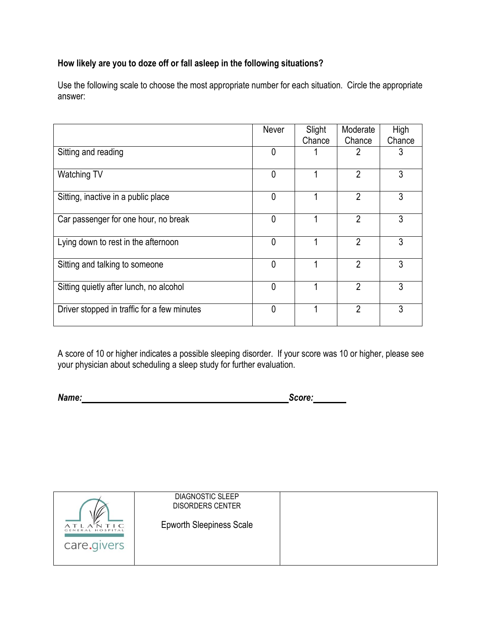## **How likely are you to doze off or fall asleep in the following situations?**

Use the following scale to choose the most appropriate number for each situation. Circle the appropriate answer:

|                                             | Never          | Slight | Moderate       | High   |
|---------------------------------------------|----------------|--------|----------------|--------|
|                                             |                | Chance | Chance         | Chance |
| Sitting and reading                         | 0              |        | 2              | 3      |
| Watching TV                                 | $\mathbf 0$    |        | $\overline{2}$ | 3      |
| Sitting, inactive in a public place         | $\overline{0}$ |        | $\overline{2}$ | 3      |
| Car passenger for one hour, no break        | 0              |        | $\overline{2}$ | 3      |
| Lying down to rest in the afternoon         | $\mathbf 0$    |        | $\overline{2}$ | 3      |
| Sitting and talking to someone              | $\mathbf{0}$   |        | $\overline{2}$ | 3      |
| Sitting quietly after lunch, no alcohol     | $\mathbf{0}$   |        | $\overline{2}$ | 3      |
| Driver stopped in traffic for a few minutes | $\mathbf{0}$   |        | $\overline{2}$ | 3      |

A score of 10 or higher indicates a possible sleeping disorder. If your score was 10 or higher, please see your physician about scheduling a sleep study for further evaluation.

*Name: Score:*

|                  | <b>DIAGNOSTIC SLEEP</b><br><b>DISORDERS CENTER</b> |  |
|------------------|----------------------------------------------------|--|
| GENERAL HOSPITAL | <b>Epworth Sleepiness Scale</b>                    |  |
| care.givers      |                                                    |  |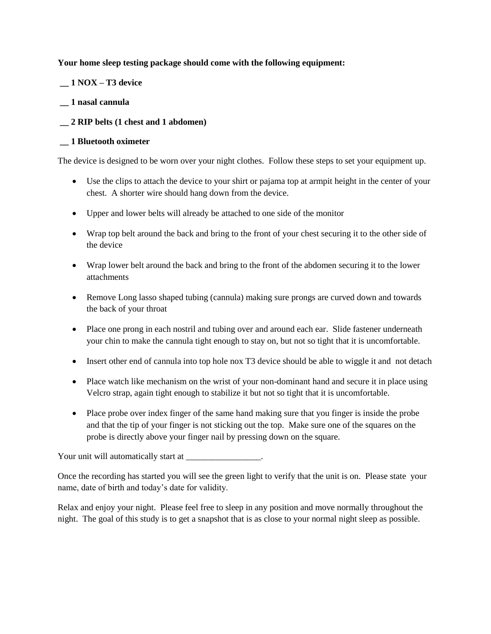#### **Your home sleep testing package should come with the following equipment:**

**\_\_ 1 NOX – T3 device**

- **\_\_ 1 nasal cannula**
- **\_\_ 2 RIP belts (1 chest and 1 abdomen)**

#### **\_\_ 1 Bluetooth oximeter**

The device is designed to be worn over your night clothes. Follow these steps to set your equipment up.

- Use the clips to attach the device to your shirt or pajama top at armpit height in the center of your chest. A shorter wire should hang down from the device.
- Upper and lower belts will already be attached to one side of the monitor
- Wrap top belt around the back and bring to the front of your chest securing it to the other side of the device
- Wrap lower belt around the back and bring to the front of the abdomen securing it to the lower attachments
- Remove Long lasso shaped tubing (cannula) making sure prongs are curved down and towards the back of your throat
- Place one prong in each nostril and tubing over and around each ear. Slide fastener underneath your chin to make the cannula tight enough to stay on, but not so tight that it is uncomfortable.
- Insert other end of cannula into top hole nox T3 device should be able to wiggle it and not detach
- Place watch like mechanism on the wrist of your non-dominant hand and secure it in place using Velcro strap, again tight enough to stabilize it but not so tight that it is uncomfortable.
- Place probe over index finger of the same hand making sure that you finger is inside the probe and that the tip of your finger is not sticking out the top. Make sure one of the squares on the probe is directly above your finger nail by pressing down on the square.

Your unit will automatically start at \_\_\_\_\_\_\_\_\_\_\_\_\_\_\_\_.

Once the recording has started you will see the green light to verify that the unit is on. Please state your name, date of birth and today's date for validity.

Relax and enjoy your night. Please feel free to sleep in any position and move normally throughout the night. The goal of this study is to get a snapshot that is as close to your normal night sleep as possible.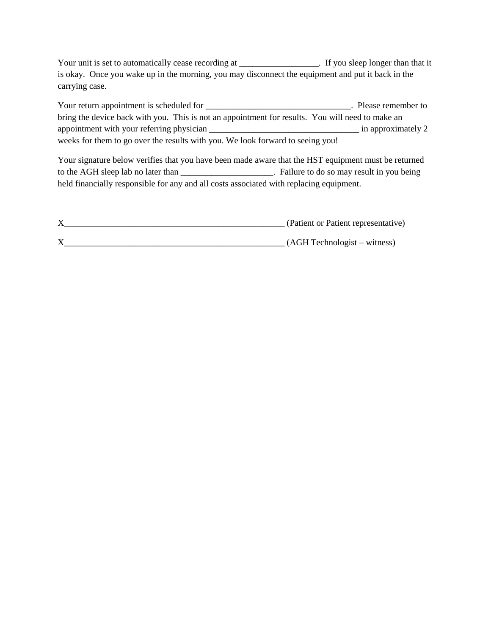Your unit is set to automatically cease recording at \_\_\_\_\_\_\_\_\_\_\_\_\_\_\_\_. If you sleep longer than that it is okay. Once you wake up in the morning, you may disconnect the equipment and put it back in the carrying case.

Your return appointment is scheduled for \_\_\_\_\_\_\_\_\_\_\_\_\_\_\_\_\_\_\_\_\_\_\_\_\_\_\_\_\_\_\_\_\_\_. Please remember to bring the device back with you. This is not an appointment for results. You will need to make an appointment with your referring physician \_\_\_\_\_\_\_\_\_\_\_\_\_\_\_\_\_\_\_\_\_\_\_\_\_\_\_\_\_\_\_\_\_\_ in approximately 2 weeks for them to go over the results with you. We look forward to seeing you!

Your signature below verifies that you have been made aware that the HST equipment must be returned to the AGH sleep lab no later than \_\_\_\_\_\_\_\_\_\_\_\_\_\_\_\_\_\_\_\_\_. Failure to do so may result in you being held financially responsible for any and all costs associated with replacing equipment.

| $\triangle$ | (Patient or Patient representative) |
|-------------|-------------------------------------|
|             | (AGH Technologist – witness)        |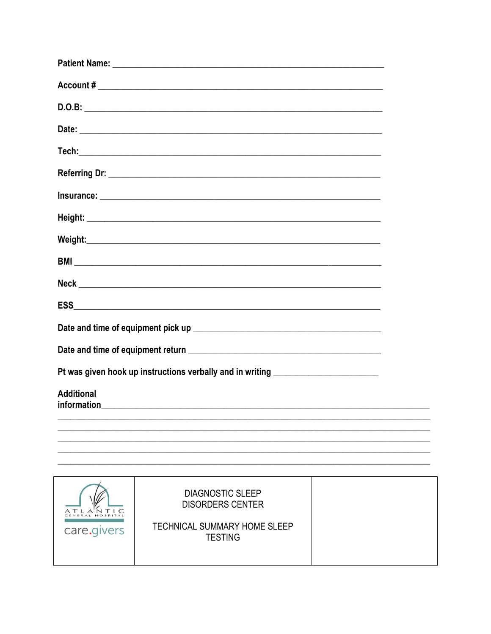| Pt was given hook up instructions verbally and in writing ______________________                                                                                          |  |  |  |
|---------------------------------------------------------------------------------------------------------------------------------------------------------------------------|--|--|--|
| <b>Additional</b>                                                                                                                                                         |  |  |  |
|                                                                                                                                                                           |  |  |  |
|                                                                                                                                                                           |  |  |  |
|                                                                                                                                                                           |  |  |  |
| <b>DIAGNOSTIC SLEEP</b><br><b>DISORDERS CENTER</b><br>$\overline{\phantom{0}}$<br>GENERAL HOSPITA<br><b>TECHNICAL SUMMARY HOME SLEEP</b><br>care.givers<br><b>TESTING</b> |  |  |  |